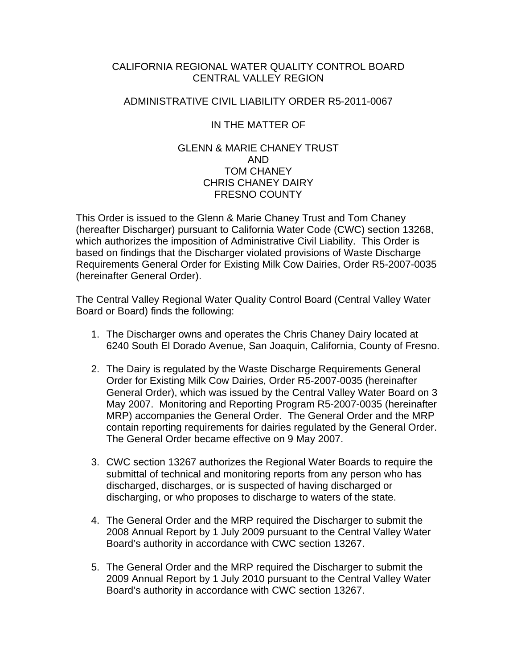## CALIFORNIA REGIONAL WATER QUALITY CONTROL BOARD CENTRAL VALLEY REGION

## ADMINISTRATIVE CIVIL LIABILITY ORDER R5-2011-0067

## IN THE MATTER OF

## GLENN & MARIE CHANEY TRUST AND TOM CHANEY CHRIS CHANEY DAIRY FRESNO COUNTY

This Order is issued to the Glenn & Marie Chaney Trust and Tom Chaney (hereafter Discharger) pursuant to California Water Code (CWC) section 13268, which authorizes the imposition of Administrative Civil Liability. This Order is based on findings that the Discharger violated provisions of Waste Discharge Requirements General Order for Existing Milk Cow Dairies, Order R5-2007-0035 (hereinafter General Order).

The Central Valley Regional Water Quality Control Board (Central Valley Water Board or Board) finds the following:

- 1. The Discharger owns and operates the Chris Chaney Dairy located at 6240 South El Dorado Avenue, San Joaquin, California, County of Fresno.
- 2. The Dairy is regulated by the Waste Discharge Requirements General Order for Existing Milk Cow Dairies, Order R5-2007-0035 (hereinafter General Order), which was issued by the Central Valley Water Board on 3 May 2007. Monitoring and Reporting Program R5-2007-0035 (hereinafter MRP) accompanies the General Order. The General Order and the MRP contain reporting requirements for dairies regulated by the General Order. The General Order became effective on 9 May 2007.
- 3. CWC section 13267 authorizes the Regional Water Boards to require the submittal of technical and monitoring reports from any person who has discharged, discharges, or is suspected of having discharged or discharging, or who proposes to discharge to waters of the state.
- 4. The General Order and the MRP required the Discharger to submit the 2008 Annual Report by 1 July 2009 pursuant to the Central Valley Water Board's authority in accordance with CWC section 13267.
- 5. The General Order and the MRP required the Discharger to submit the 2009 Annual Report by 1 July 2010 pursuant to the Central Valley Water Board's authority in accordance with CWC section 13267.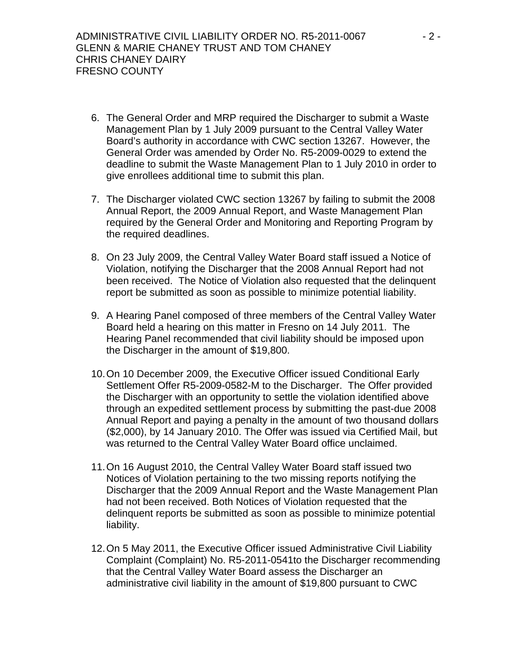- 6. The General Order and MRP required the Discharger to submit a Waste Management Plan by 1 July 2009 pursuant to the Central Valley Water Board's authority in accordance with CWC section 13267. However, the General Order was amended by Order No. R5-2009-0029 to extend the deadline to submit the Waste Management Plan to 1 July 2010 in order to give enrollees additional time to submit this plan.
- 7. The Discharger violated CWC section 13267 by failing to submit the 2008 Annual Report, the 2009 Annual Report, and Waste Management Plan required by the General Order and Monitoring and Reporting Program by the required deadlines.
- 8. On 23 July 2009, the Central Valley Water Board staff issued a Notice of Violation, notifying the Discharger that the 2008 Annual Report had not been received. The Notice of Violation also requested that the delinquent report be submitted as soon as possible to minimize potential liability.
- 9. A Hearing Panel composed of three members of the Central Valley Water Board held a hearing on this matter in Fresno on 14 July 2011. The Hearing Panel recommended that civil liability should be imposed upon the Discharger in the amount of \$19,800.
- 10. On 10 December 2009, the Executive Officer issued Conditional Early Settlement Offer R5-2009-0582-M to the Discharger. The Offer provided the Discharger with an opportunity to settle the violation identified above through an expedited settlement process by submitting the past-due 2008 Annual Report and paying a penalty in the amount of two thousand dollars (\$2,000), by 14 January 2010. The Offer was issued via Certified Mail, but was returned to the Central Valley Water Board office unclaimed.
- 11. On 16 August 2010, the Central Valley Water Board staff issued two Notices of Violation pertaining to the two missing reports notifying the Discharger that the 2009 Annual Report and the Waste Management Plan had not been received. Both Notices of Violation requested that the delinquent reports be submitted as soon as possible to minimize potential liability.
- 12. On 5 May 2011, the Executive Officer issued Administrative Civil Liability Complaint (Complaint) No. R5-2011-0541to the Discharger recommending that the Central Valley Water Board assess the Discharger an administrative civil liability in the amount of \$19,800 pursuant to CWC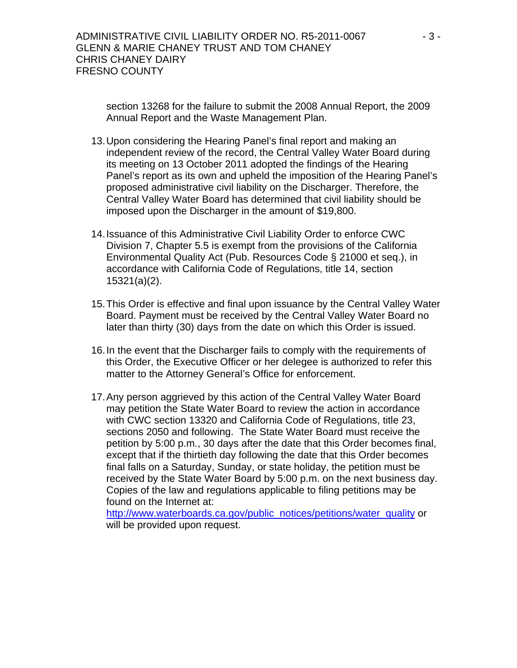section 13268 for the failure to submit the 2008 Annual Report, the 2009 Annual Report and the Waste Management Plan.

- 13. Upon considering the Hearing Panel's final report and making an independent review of the record, the Central Valley Water Board during its meeting on 13 October 2011 adopted the findings of the Hearing Panel's report as its own and upheld the imposition of the Hearing Panel's proposed administrative civil liability on the Discharger. Therefore, the Central Valley Water Board has determined that civil liability should be imposed upon the Discharger in the amount of \$19,800.
- 14. Issuance of this Administrative Civil Liability Order to enforce CWC Division 7, Chapter 5.5 is exempt from the provisions of the California Environmental Quality Act (Pub. Resources Code § 21000 et seq.), in accordance with California Code of Regulations, title 14, section 15321(a)(2).
- 15. This Order is effective and final upon issuance by the Central Valley Water Board. Payment must be received by the Central Valley Water Board no later than thirty (30) days from the date on which this Order is issued.
- 16. In the event that the Discharger fails to comply with the requirements of this Order, the Executive Officer or her delegee is authorized to refer this matter to the Attorney General's Office for enforcement.
- 17. Any person aggrieved by this action of the Central Valley Water Board may petition the State Water Board to review the action in accordance with CWC section 13320 and California Code of Regulations, title 23, sections 2050 and following. The State Water Board must receive the petition by 5:00 p.m., 30 days after the date that this Order becomes final, except that if the thirtieth day following the date that this Order becomes final falls on a Saturday, Sunday, or state holiday, the petition must be received by the State Water Board by 5:00 p.m. on the next business day. Copies of the law and regulations applicable to filing petitions may be found on the Internet at:

[http://www.waterboards.ca.gov/public\\_notices/petitions/water\\_quality](http://www.waterboards.ca.gov/public_notices/petitions/water_quality) or will be provided upon request.